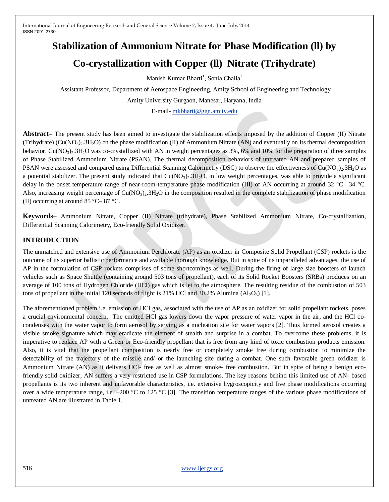# **Stabilization of Ammonium Nitrate for Phase Modification (ll) by Co-crystallization with Copper (ll) Nitrate (Trihydrate)**

Manish Kumar Bharti<sup>1</sup>, Sonia Chalia<sup>2</sup>

<sup>1</sup>Assistant Professor, Department of Aerospace Engineering, Amity School of Engineering and Technology

Amity University Gurgaon, Manesar, Haryana, India

E-mail- [mkbharti@ggn.amity.edu](mailto:mkbharti@ggn.amity.edu)

**Abstract–** The present study has been aimed to investigate the stabilization effects imposed by the addition of Copper (II) Nitrate (Trihydrate) (Cu(NO<sub>3</sub>)<sub>2</sub>.3H<sub>2</sub>O) on the phase modification (II) of Ammonium Nitrate (AN) and eventually on its thermal decomposition behavior. Cu(NO<sub>3</sub>). 3H<sub>2</sub>O was co-crystallized with AN in weight percentages as 3%, 6% and 10% for the preparation of three samples of Phase Stabilized Ammonium Nitrate (PSAN). The thermal decomposition behaviors of untreated AN and prepared samples of PSAN were assessed and compared using Differential Scanning Calorimetry (DSC) to observe the effectiveness of  $Cu(NO<sub>3</sub>)<sub>2</sub>3H<sub>2</sub>O$  as a potential stabilizer. The present study indicated that  $Cu(NO<sub>3</sub>)<sub>2</sub>3H<sub>2</sub>O$ , in low weight percentages, was able to provide a significant delay in the onset temperature range of near-room-temperature phase modification (III) of AN occurring at around 32 °C– 34 °C. Also, increasing weight percentage of  $Cu(NO_3)$ .  $3H_2O$  in the composition resulted in the complete stabilization of phase modification (II) occurring at around 85 °C– 87 °C.

**Keywords**– Ammonium Nitrate, Copper (II) Nitrate (trihydrate), Phase Stabilized Ammonium Nitrate, Co-crystallization, Differential Scanning Calorimetry, Eco-friendly Solid Oxidizer.

## **INTRODUCTION**

The unmatched and extensive use of Ammonium Perchlorate (AP) as an oxidizer in Composite Solid Propellant (CSP) rockets is the outcome of its superior ballistic performance and available thorough knowledge. But in spite of its unparalleled advantages, the use of AP in the formulation of CSP rockets comprises of some shortcomings as well. During the firing of large size boosters of launch vehicles such as Space Shuttle (containing around 503 tons of propellant), each of its Solid Rocket Boosters (SRBs) produces on an average of 100 tons of Hydrogen Chloride (HCl) gas which is let to the atmosphere. The resulting residue of the combustion of 503 tons of propellant in the initial 120 seconds of flight is 21% HCl and 30.2% Alumina ( $Al_2O_3$ ) [1].

The aforementioned problem i.e. emission of HCl gas, associated with the use of AP as an oxidizer for solid propellant rockets, poses a crucial environmental concern. The emitted HCl gas lowers down the vapor pressure of water vapor in the air, and the HCl cocondenses with the water vapor to form aerosol by serving as a nucleation site for water vapors [2]. Thus formed aerosol creates a visible smoke signature which may eradicate the element of stealth and surprise in a combat. To overcome these problems, it is imperative to replace AP with a Green or Eco-friendly propellant that is free from any kind of toxic combustion products emission. Also, it is vital that the propellant composition is nearly free or completely smoke free during combustion to minimize the detectability of the trajectory of the missile and/ or the launching site during a combat. One such favorable green oxidizer is Ammonium Nitrate (AN) as it delivers HCl- free as well as almost smoke- free combustion. But in spite of being a benign ecofriendly solid oxidizer, AN suffers a very restricted use in CSP formulations. The key reasons behind this limited use of AN- based propellants is its two inherent and unfavorable characteristics, i.e. extensive hygroscopicity and five phase modifications occurring over a wide temperature range, i.e.  $-200$  °C to 125 °C [3]. The transition temperature ranges of the various phase modifications of untreated AN are illustrated in Table 1.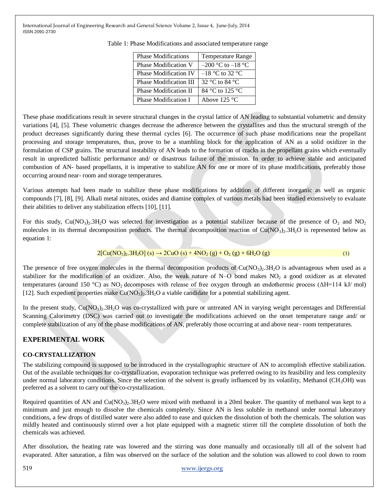| <b>Phase Modifications</b>   | <b>Temperature Range</b>           |
|------------------------------|------------------------------------|
| Phase Modification V         | $-200$ °C to $-18$ °C              |
| <b>Phase Modification IV</b> | $-18$ °C to 32 °C                  |
| Phase Modification III       | 32 $\degree$ C to 84 $\degree$ C   |
| Phase Modification II        | $84^{\circ}$ C to 125 $^{\circ}$ C |
| Phase Modification I         | Above $125 \text{ °C}$             |

Table 1: Phase Modifications and associated temperature range

These phase modifications result in severe structural changes in the crystal lattice of AN leading to substantial volumetric and density variations [4], [5]. These volumetric changes decrease the adherence between the crystallites and thus the structural strength of the product decreases significantly during these thermal cycles [6]. The occurrence of such phase modifications near the propellant processing and storage temperatures, thus, prove to be a stumbling block for the application of AN as a solid oxidizer in the formulation of CSP grains. The structural instability of AN leads to the formation of cracks in the propellant grains which eventually result in unpredicted ballistic performance and/ or disastrous failure of the mission. In order to achieve stable and anticipated combustion of AN- based propellants, it is imperative to stabilize AN for one or more of its phase modifications, preferably those occurring around near- room and storage temperatures.

Various attempts had been made to stabilize these phase modifications by addition of different inorganic as well as organic compounds [7], [8], [9]. Alkali metal nitrates, oxides and diamine complex of various metals had been studied extensively to evaluate their abilities to deliver any stabilization effects [10], [11].

For this study,  $Cu(NO<sub>3</sub>)<sub>2</sub>·3H<sub>2</sub>O$  was selected for investigation as a potential stabilizer because of the presence of  $O<sub>2</sub>$  and  $NO<sub>2</sub>$ molecules in its thermal decomposition products. The thermal decomposition reaction of  $Cu(NO<sub>3</sub>)<sub>2</sub>$ .3H<sub>2</sub>O is represented below as equation 1:

$$
2[Cu(NO3)2.3H2O](s) \rightarrow 2CuO(s) + 4NO2(g) + O2(g) + 6H2O(g)
$$
 (1)

The presence of free oxygen molecules in the thermal decomposition products of  $Cu(NO<sub>3</sub>)<sub>2</sub>$ . 3H<sub>2</sub>O is advantageous when used as a stabilizer for the modification of an oxidizer. Also, the weak nature of  $N-O$  bond makes  $NO<sub>2</sub>$  a good oxidizer as at elevated temperatures (around 150 °C) as NO<sup>2</sup> decomposes with release of free oxygen through an endothermic process (ΔH=114 kJ/ mol) [12]. Such expedient properties make  $Cu(NO_3)_2.3H_2O$  a viable candidate for a potential stabilizing agent.

In the present study,  $Cu(NO<sub>3</sub>)<sub>2</sub>3H<sub>2</sub>O$  was co-crystallized with pure or untreated AN in varying weight percentages and Differential Scanning Calorimetry (DSC) was carried out to investigate the modifications achieved on the onset temperature range and/ or complete stabilization of any of the phase modifications of AN, preferably those occurring at and above near- room temperatures.

## **EXPERIMENTAL WORK**

## **CO-CRYSTALLIZATION**

The stabilizing compound is supposed to be introduced in the crystallographic structure of AN to accomplish effective stabilization. Out of the available techniques for co-crystallization, evaporation technique was preferred owing to its feasibility and less complexity under normal laboratory conditions. Since the selection of the solvent is greatly influenced by its volatility, Methanol (CH<sub>3</sub>OH) was preferred as a solvent to carry out the co-crystallization.

Required quantities of AN and Cu(NO<sub>3</sub>) $\cdot$ .3H<sub>2</sub>O were mixed with methanol in a 20ml beaker. The quantity of methanol was kept to a minimum and just enough to dissolve the chemicals completely. Since AN is less soluble in methanol under normal laboratory conditions, a few drops of distilled water were also added to ease and quicken the dissolution of both the chemicals. The solution was mildly heated and continuously stirred over a hot plate equipped with a magnetic stirrer till the complete dissolution of both the chemicals was achieved.

After dissolution, the heating rate was lowered and the stirring was done manually and occasionally till all of the solvent had evaporated. After saturation, a film was observed on the surface of the solution and the solution was allowed to cool down to room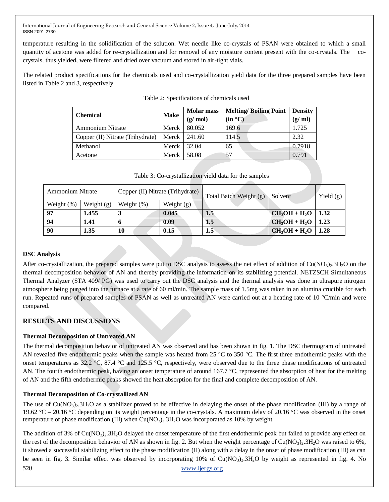temperature resulting in the solidification of the solution. Wet needle like co-crystals of PSAN were obtained to which a small quantity of acetone was added for re-crystallization and for removal of any moisture content present with the co-crystals. The cocrystals, thus yielded, were filtered and dried over vacuum and stored in air-tight vials.

The related product specifications for the chemicals used and co-crystallization yield data for the three prepared samples have been listed in Table 2 and 3, respectively.

| <b>Chemical</b>                  | <b>Make</b>          | <b>Molar mass</b> | <b>Melting/Boiling Point</b> | <b>Density</b> |
|----------------------------------|----------------------|-------------------|------------------------------|----------------|
|                                  |                      | (g/mol)           | (in °C)                      | (g/ml)         |
| <b>Ammonium Nitrate</b>          | Merck                | 80.052            | 169.6                        | 1.725          |
| Copper (II) Nitrate (Trihydrate) | Merck $\vert$ 241.60 |                   | 114.5                        | 2.32           |
| Methanol                         | Merck                | 32.04             | 65                           | 0.7918         |
| Acetone                          | Merck                | 58.08             | 57                           | 0.791          |

Table 3: Co-crystallization yield data for the samples

| <b>Ammonium Nitrate</b> |              | Copper (II) Nitrate (Trihydrate) |              | Total Batch Weight (g) | Solvent         | Yield $(g)$ |
|-------------------------|--------------|----------------------------------|--------------|------------------------|-----------------|-------------|
| Weight $(\%)$           | Weight $(g)$ | Weight $(\%)$                    | Weight $(g)$ |                        |                 |             |
| 97                      | 1.455        |                                  | 0.045        | 1.5                    | $CH_3OH + H_2O$ | 1.32        |
| 94                      | 1.41         | o                                | 0.09         | 1.5                    | $CH_3OH + H_2O$ | 1.23        |
| 90                      | 1.35         | 10                               | 0.15         | $1.5\,$                | $CH_3OH + H_2O$ | 1.28        |

## **DSC Analysis**

After co-crystallization, the prepared samples were put to DSC analysis to assess the net effect of addition of  $Cu(NO<sub>3</sub>)$ . 3H<sub>2</sub>O on the thermal decomposition behavior of AN and thereby providing the information on its stabilizing potential. NETZSCH Simultaneous Thermal Analyzer (STA 409/ PG) was used to carry out the DSC analysis and the thermal analysis was done in ultrapure nitrogen atmosphere being purged into the furnace at a rate of 60 ml/min. The sample mass of 1.5mg was taken in an alumina crucible for each run. Repeated runs of prepared samples of PSAN as well as untreated AN were carried out at a heating rate of 10 °C/min and were compared.

## **RESULTS AND DISCUSSIONS**

## **Thermal Decomposition of Untreated AN**

The thermal decomposition behavior of untreated AN was observed and has been shown in fig. 1. The DSC thermogram of untreated AN revealed five endothermic peaks when the sample was heated from 25 °C to 350 °C. The first three endothermic peaks with the onset temperatures as 32.2 °C, 87.4 °C and 125.5 °C, respectively, were observed due to the three phase modifications of untreated AN. The fourth endothermic peak, having an onset temperature of around 167.7 °C, represented the absorption of heat for the melting of AN and the fifth endothermic peaks showed the heat absorption for the final and complete decomposition of AN.

## **Thermal Decomposition of Co-crystallized AN**

The use of  $Cu(NO<sub>3</sub>)<sub>2</sub>$ . 3H<sub>2</sub>O as a stabilizer proved to be effective in delaying the onset of the phase modification (III) by a range of 19.62 °C – 20.16 °C depending on its weight percentage in the co-crystals. A maximum delay of 20.16 °C was observed in the onset temperature of phase modification (III) when  $Cu(NO<sub>3</sub>)<sub>2</sub>$ .  $3H<sub>2</sub>O$  was incorporated as 10% by weight.

520 [www.ijergs.org](http://www.ijergs.org/) The addition of 3% of  $Cu(NO<sub>3</sub>)<sub>2</sub>3H<sub>2</sub>O$  delayed the onset temperature of the first endothermic peak but failed to provide any effect on the rest of the decomposition behavior of AN as shown in fig. 2. But when the weight percentage of  $Cu(NO<sub>3</sub>)<sub>2</sub>$ .3H<sub>2</sub>O was raised to 6%, it showed a successful stabilizing effect to the phase modification (II) along with a delay in the onset of phase modification (III) as can be seen in fig. 3. Similar effect was observed by incorporating  $10\%$  of Cu(NO<sub>3</sub>)<sub>2</sub>.3H<sub>2</sub>O by weight as represented in fig. 4. No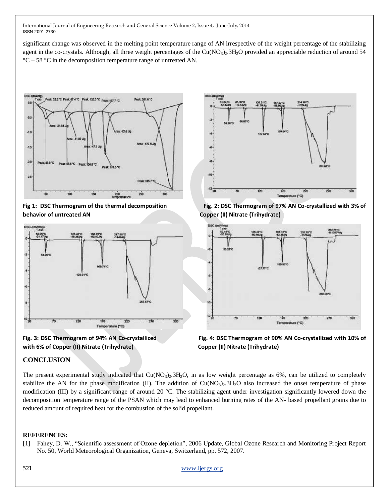significant change was observed in the melting point temperature range of AN irrespective of the weight percentage of the stabilizing agent in the co-crystals. Although, all three weight percentages of the  $Cu(NO<sub>3</sub>)<sub>2</sub>$ .  $3H<sub>2</sub>O$  provided an appreciable reduction of around 54  $\degree$ C – 58  $\degree$ C in the decomposition temperature range of untreated AN.



**behavior of untreated AN Copper (II) Nitrate (Trihydrate)**







**Fig 1: DSC Thermogram of the thermal decomposition Fig. 2: DSC Thermogram of 97% AN Co-crystallized with 3% of** 





## **CONCLUSION**

The present experimental study indicated that  $Cu(NO<sub>3</sub>)<sub>2</sub>$ .3H<sub>2</sub>O, in as low weight percentage as 6%, can be utilized to completely stabilize the AN for the phase modification (II). The addition of  $Cu(NO<sub>3</sub>)<sub>2</sub>$ .3H<sub>2</sub>O also increased the onset temperature of phase modification (III) by a significant range of around 20 °C. The stabilizing agent under investigation significantly lowered down the decomposition temperature range of the PSAN which may lead to enhanced burning rates of the AN- based propellant grains due to reduced amount of required heat for the combustion of the solid propellant.

#### **REFERENCES:**

[1] Fahey, D. W., "Scientific assessment of Ozone depletion", 2006 Update, Global Ozone Research and Monitoring Project Report No. 50, World Meteorological Organization, Geneva, Switzerland, pp. 572, 2007.